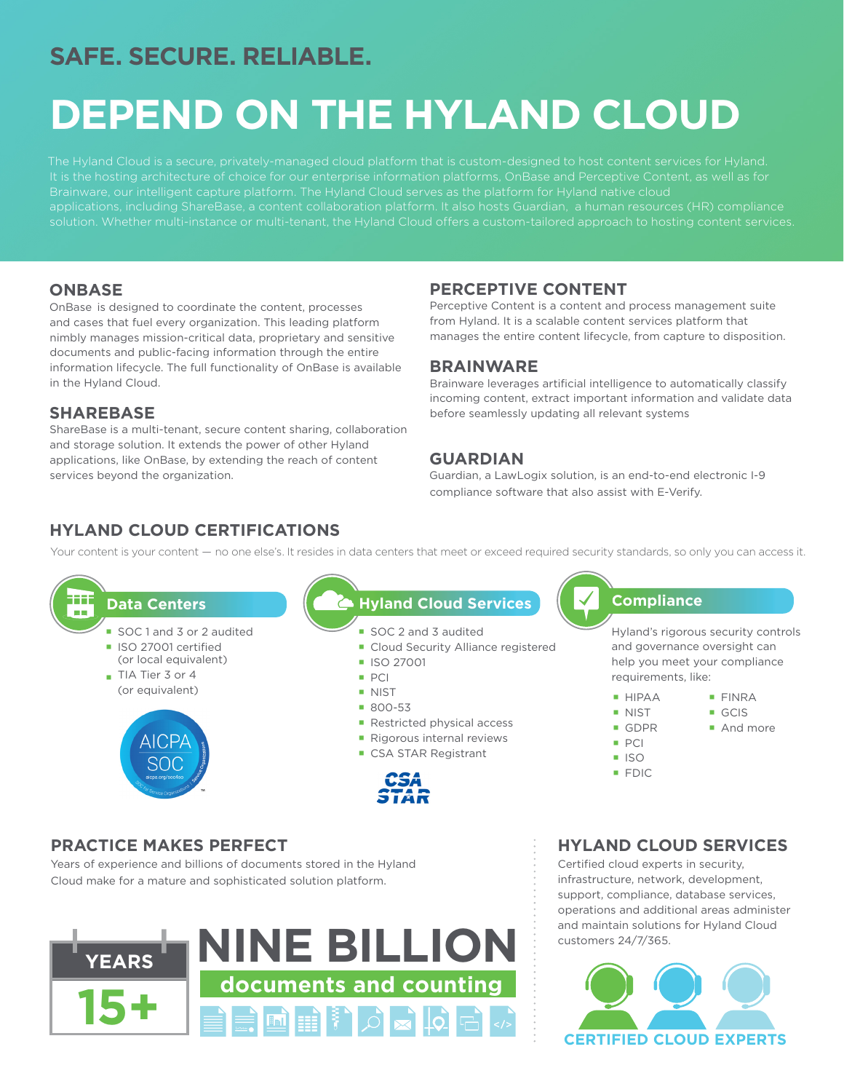## **SAFE. SECURE. RELIABLE.**

# **DEPEND ON THE HYLAND CLOUD**

The Hyland Cloud is a secure, privately-managed cloud platform that is custom-designed to host content services for Hyland. applications, including ShareBase, a content collaboration platform. It also hosts Guardian, a human resources (HR) compliance solution. Whether multi-instance or multi-tenant, the Hyland Cloud offers a custom-tailored approach to hosting content services.

#### **ONBASE**

OnBase is designed to coordinate the content, processes and cases that fuel every organization. This leading platform nimbly manages mission-critical data, proprietary and sensitive documents and public-facing information through the entire information lifecycle. The full functionality of OnBase is available in the Hyland Cloud.

#### **SHAREBASE**

ShareBase is a multi-tenant, secure content sharing, collaboration and storage solution. It extends the power of other Hyland applications, like OnBase, by extending the reach of content services beyond the organization.

### **PERCEPTIVE CONTENT**

Perceptive Content is a content and process management suite from Hyland. It is a scalable content services platform that manages the entire content lifecycle, from capture to disposition.

#### **BRAINWARE**

Brainware leverages artificial intelligence to automatically classify incoming content, extract important information and validate data before seamlessly updating all relevant systems

#### **GUARDIAN**

Guardian, a LawLogix solution, is an end-to-end electronic I-9 compliance software that also assist with E-Verify.

## **HYLAND CLOUD CERTIFICATIONS**

Your content is your content — no one else's. It resides in data centers that meet or exceed required security standards, so only you can access it.

#### Ħ٦ **Data Centers**

- SOC 1 and 3 or 2 audited
- ISO 27001 certified
- (or local equivalent)
- TIA Tier 3 or 4 (or equivalent)



### **Hyland Cloud Services**

- SOC 2 and 3 audited
- **Cloud Security Alliance registered**
- **ISO 27001**
- PCI
- **NIST**
- 800-53
- Restricted physical access
- Rigorous internal reviews
- CSA STAR Registrant



## **Compliance**

Hyland's rigorous security controls and governance oversight can help you meet your compliance requirements, like:

- **HIPAA**
- **NIST** ■ GDPR
- GCIS And more

FINRA

- **PCI**
- $\overline{1}$  ISO
- **FDIC**

## **PRACTICE MAKES PERFECT**

Years of experience and billions of documents stored in the Hyland Cloud make for a mature and sophisticated solution platform.



## **HYLAND CLOUD SERVICES**

Certified cloud experts in security, infrastructure, network, development, support, compliance, database services, operations and additional areas administer and maintain solutions for Hyland Cloud customers 24/7/365.